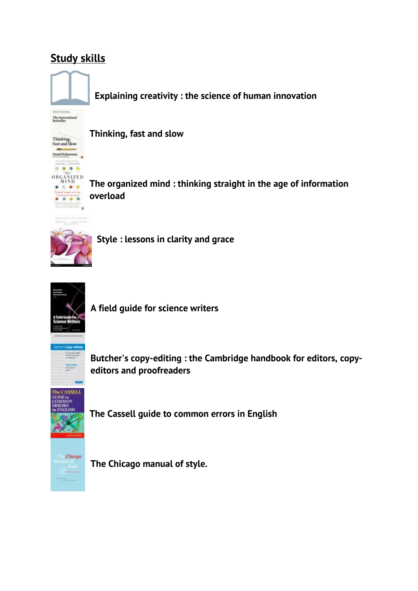## **Study skill[s](http://solo.bodleian.ox.ac.uk/primo-explore/fulldisplay?docid=oxfaleph016028077&context=L&vid=SOLO&lang=en_US&search_scope=LSCOP_ALL&adaptor=Local%20Search%20Engine&isFrbr=true&tab=local&query=any,contains,Explaining%20creativity%20:%20the%20science%20of%20human%20innovation%20/&sortby=rank&facet=frbrgroupid,include,238993678&offset=0)**



**[Explaining creativity : the science of human innovation](http://solo.bodleian.ox.ac.uk/primo-explore/fulldisplay?docid=oxfaleph016028077&context=L&vid=SOLO&lang=en_US&search_scope=LSCOP_ALL&adaptor=Local%20Search%20Engine&isFrbr=true&tab=local&query=any,contains,Explaining%20creativity%20:%20the%20science%20of%20human%20innovation%20/&sortby=rank&facet=frbrgroupid,include,238993678&offset=0)**



**[Thinking, fast and slow](http://solo.bodleian.ox.ac.uk/primo-explore/fulldisplay?docid=oxfaleph019315476&context=L&vid=SOLO&lang=en_US&search_scope=LSCOP_ALL&adaptor=Local%20Search%20Engine&isFrbr=true&tab=local&query=any,contains,Thinking,%20fast%20and%20slow%20/&sortby=rank&facet=frbrgroupid,include,240741661&offset=0)**

**The organized mind [: thinking straight in](http://solo.bodleian.ox.ac.uk/primo-explore/fulldisplay?docid=oxfaleph020338096&context=L&vid=SOLO&lang=en_US&search_scope=LSCOP_ALL&adaptor=Local%20Search%20Engine&tab=local&query=any,contains,The%20organized%20mind&offset=0) the age of information [overload](http://solo.bodleian.ox.ac.uk/primo-explore/fulldisplay?docid=oxfaleph020338096&context=L&vid=SOLO&lang=en_US&search_scope=LSCOP_ALL&adaptor=Local%20Search%20Engine&tab=local&query=any,contains,The%20organized%20mind&offset=0)**



**[Style : lessons in clarity and grace](http://solo.bodleian.ox.ac.uk/primo-explore/fulldisplay?docid=oxfaleph019601263&context=L&vid=SOLO&lang=en_US&search_scope=LSCOP_ALL&adaptor=Local%20Search%20Engine&tab=local&query=any,contains,Style%20:%20Lessons%20in%20Clarity%20and%20Grace%20/&offset=0)**



**[A field guide for science writers](http://solo.bodleian.ox.ac.uk/primo-explore/fulldisplay?docid=oxfaleph015972711&context=L&vid=SOLO&lang=en_US&search_scope=LSCOP_ALL&adaptor=Local%20Search%20Engine&isFrbr=true&tab=local&query=any,contains,A%20field%20guide%20for%20science%20writers%20/&sortby=rank&facet=frbrgroupid,include,238937291&offset=0)**

**Butcher's copy-editing : [the Cambridge handbook for editors,](http://solo.bodleian.ox.ac.uk/primo-explore/fulldisplay?docid=oxfaleph016117728&context=L&vid=SOLO&lang=en_US&search_scope=LSCOP_ALL&adaptor=Local%20Search%20Engine&isFrbr=true&tab=local&query=any,contains,Butcher%27s%20copy-editing%20:%20the%20Cambridge%20handbook%20for%20editors,%20copy-editors%20and%20proofreaders%20/&sortby=rank&facet=frbrgroupid,include,239072525&offset=0) copy[editors and proofreaders](http://solo.bodleian.ox.ac.uk/primo-explore/fulldisplay?docid=oxfaleph016117728&context=L&vid=SOLO&lang=en_US&search_scope=LSCOP_ALL&adaptor=Local%20Search%20Engine&isFrbr=true&tab=local&query=any,contains,Butcher%27s%20copy-editing%20:%20the%20Cambridge%20handbook%20for%20editors,%20copy-editors%20and%20proofreaders%20/&sortby=rank&facet=frbrgroupid,include,239072525&offset=0)**



**[The Cassell guide to common errors in English](http://solo.bodleian.ox.ac.uk/primo-explore/fulldisplay?docid=oxfaleph012854536&context=L&vid=SOLO&lang=en_US&search_scope=LSCOP_ALL&adaptor=Local%20Search%20Engine&tab=local&query=any,contains,The%20Cassell%20guide%20to%20common%20errors%20in%20English%20/&offset=0)**



**[The Chicago manual of style.](http://solo.bodleian.ox.ac.uk/primo-explore/fulldisplay?docid=oxfaleph017268388&context=L&vid=SOLO&lang=en_US&search_scope=LSCOP_ALL&adaptor=Local%20Search%20Engine&tab=local&query=any,contains,The%20Chicago%20manual%20of%20style.&offset=0)**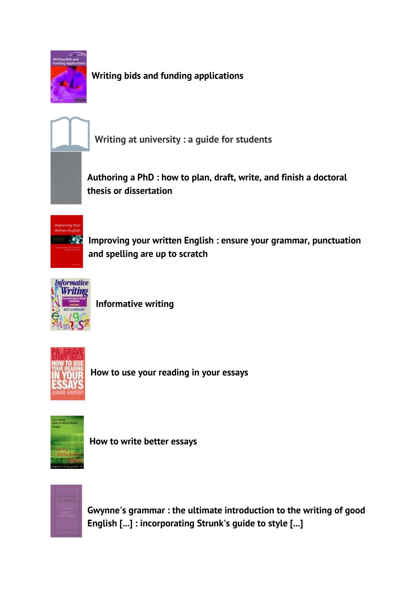

**[Writing bids and funding applications](http://solo.bodleian.ox.ac.uk/primo-explore/fulldisplay?docid=oxfaleph015654380&context=L&vid=SOLO&lang=en_US&search_scope=LSCOP_STX&adaptor=Local%20Search%20Engine&tab=local&query=any,contains,Writing%20bids%20and%20funding%20applications%20/&offset=0)**



**[Writing at university : a guide for students](https://solo.bodleian.ox.ac.uk/primo-explore/fulldisplay?docid=oxfaleph013088277&context=L&vid=SOLO&lang=en_US&search_scope=LSCOP_STX&adaptor=Local%20Search%20Engine&isFrbr=true&tab=local&query=any,contains,Writing%20at%20university%20:%20a%20guide%20for%20students&offset=0)**

**[Authoring a PhD : how to plan, draft, write, and finish a doctoral](http://solo.bodleian.ox.ac.uk/primo-explore/fulldisplay?docid=oxfaleph015492707&context=L&vid=SOLO&lang=en_US&search_scope=LSCOP_STX&adaptor=Local%20Search%20Engine&isFrbr=true&tab=local&query=any,contains,Authoring%20a%20PhD%20:%20how%20to%20plan,%20draft,%20write,%20and%20finish%20a%20doctoral%20thesis%20or%20dissertation%20/&sortby=rank&facet=frbrgroupid,include,238529856&offset=0)  [thesis or dissertation](http://solo.bodleian.ox.ac.uk/primo-explore/fulldisplay?docid=oxfaleph015492707&context=L&vid=SOLO&lang=en_US&search_scope=LSCOP_STX&adaptor=Local%20Search%20Engine&isFrbr=true&tab=local&query=any,contains,Authoring%20a%20PhD%20:%20how%20to%20plan,%20draft,%20write,%20and%20finish%20a%20doctoral%20thesis%20or%20dissertation%20/&sortby=rank&facet=frbrgroupid,include,238529856&offset=0)**



**[Improving your written English : ensure your grammar, punctuation](http://solo.bodleian.ox.ac.uk/primo-explore/fulldisplay?docid=oxfaleph015207778&context=L&vid=SOLO&lang=en_US&search_scope=LSCOP_STX&adaptor=Local%20Search%20Engine&tab=local&query=any,contains,Improving%20your%20written%20English%20:%20ensure%20your%20grammar,%20punctuation%20and%20spelling%20are%20up%20to%20scratch%20/&offset=0)  [and spelling are up to scratch](http://solo.bodleian.ox.ac.uk/primo-explore/fulldisplay?docid=oxfaleph015207778&context=L&vid=SOLO&lang=en_US&search_scope=LSCOP_STX&adaptor=Local%20Search%20Engine&tab=local&query=any,contains,Improving%20your%20written%20English%20:%20ensure%20your%20grammar,%20punctuation%20and%20spelling%20are%20up%20to%20scratch%20/&offset=0)**



**[Informative writing](http://solo.bodleian.ox.ac.uk/primo-explore/fulldisplay?docid=oxfaleph013261867&context=L&vid=SOLO&lang=en_US&search_scope=LSCOP_STX&adaptor=Local%20Search%20Engine&isFrbr=true&tab=local&query=any,contains,Informative%20writing%20/&offset=0)**



**[How to use your reading in your essays](http://solo.bodleian.ox.ac.uk/primo-explore/fulldisplay?docid=oxfaleph017403056&context=L&vid=SOLO&lang=en_US&search_scope=LSCOP_STX&adaptor=Local%20Search%20Engine&isFrbr=true&tab=local&query=any,contains,How%20to%20use%20your%20reading%20in%20your%20essays%20/&sortby=rank&facet=frbrgroupid,include,240284750&offset=0)**



**[How to write better essays](http://solo.bodleian.ox.ac.uk/primo-explore/fulldisplay?docid=oxfaleph015192550&context=L&vid=SOLO&lang=en_US&search_scope=LSCOP_ALL&adaptor=Local%20Search%20Engine&isFrbr=true&tab=local&query=any,contains,How%20to%20write%20better%20essays%20/&sortby=rank&facet=frbrgroupid,include,238200447&facet=tlevel,include,physical_item&offset=0)**



**Gwynne's grammar : [the ultimate introduction to the writing of good](http://solo.bodleian.ox.ac.uk/primo-explore/fulldisplay?docid=oxfaleph019500706&context=L&vid=SOLO&lang=en_US&search_scope=LSCOP_ALL&adaptor=Local%20Search%20Engine&isFrbr=true&tab=local&query=any,contains,Gwynne%27s%20grammar%20:%20the%20ultimate%20introduction%20to%20the%20writing%20of%20good%20English%20%5b...%5d%20:%20incorporating%20St&sortby=rank&facet=frbrgroupid,include,241313106&offset=0) English [...] : incorporating [Strunk's guide to style \[...\]](http://solo.bodleian.ox.ac.uk/primo-explore/fulldisplay?docid=oxfaleph019500706&context=L&vid=SOLO&lang=en_US&search_scope=LSCOP_ALL&adaptor=Local%20Search%20Engine&isFrbr=true&tab=local&query=any,contains,Gwynne%27s%20grammar%20:%20the%20ultimate%20introduction%20to%20the%20writing%20of%20good%20English%20%5b...%5d%20:%20incorporating%20St&sortby=rank&facet=frbrgroupid,include,241313106&offset=0)**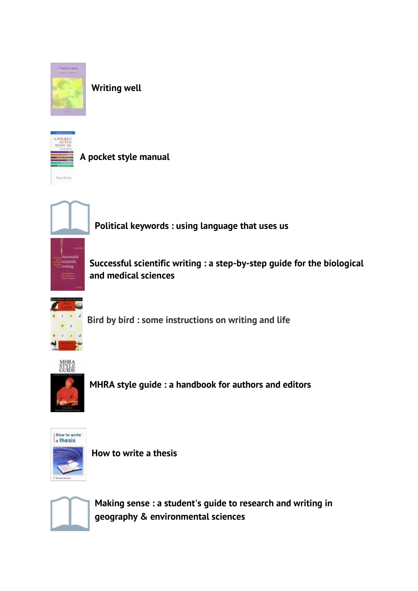

**[Writing well](http://solo.bodleian.ox.ac.uk/primo-explore/fulldisplay?docid=oxfaleph016438152&context=L&vid=SOLO&lang=en_US&search_scope=LSCOP_ALL&adaptor=Local%20Search%20Engine&tab=local&query=any,contains,Writing%20well%20/&offset=0)**



**[A pocket style manual](http://solo.bodleian.ox.ac.uk/primo-explore/fulldisplay?docid=oxfaleph021617128&context=L&vid=SOLO&lang=en_US&search_scope=LSCOP_ALL&adaptor=Local%20Search%20Engine&isFrbr=true&tab=local&query=any,contains,A%20pocket%20style%20manual%20/&sortby=rank&facet=frbrgroupid,include,241113943&offset=0)**



**[Political keywords : using language that uses us](http://solo.bodleian.ox.ac.uk/primo-explore/fulldisplay?docid=oxfaleph015949170&context=L&vid=SOLO&lang=en_US&search_scope=LSCOP_ALL&adaptor=Local%20Search%20Engine&tab=local&query=any,contains,Political%20keywords%20:%20using%20language%20that%20uses%20us%20/&offset=0)**

**[Successful scientific writing : a step-by-step guide for the biological](http://solo.bodleian.ox.ac.uk/primo-explore/fulldisplay?docid=oxfaleph015066286&context=L&vid=SOLO&lang=en_US&search_scope=LSCOP_ALL&adaptor=Local%20Search%20Engine&isFrbr=true&tab=local&query=any,contains,Successful%20scientific%20writing%20:%20a%20step-by-step%20guide%20for%20the%20biological%20and%20medical%20sciences%20/&sortby=rank&facet=frbrgroupid,include,238134154&offset=0)  [and medical sciences](http://solo.bodleian.ox.ac.uk/primo-explore/fulldisplay?docid=oxfaleph015066286&context=L&vid=SOLO&lang=en_US&search_scope=LSCOP_ALL&adaptor=Local%20Search%20Engine&isFrbr=true&tab=local&query=any,contains,Successful%20scientific%20writing%20:%20a%20step-by-step%20guide%20for%20the%20biological%20and%20medical%20sciences%20/&sortby=rank&facet=frbrgroupid,include,238134154&offset=0)**



**[Bird by bird : some instructions on writing and life](https://solo.bodleian.ox.ac.uk/primo-explore/fulldisplay?docid=oxfaleph019104268&context=L&vid=SOLO&lang=en_US&search_scope=LSCOP_STX&adaptor=Local%20Search%20Engine&tab=local&query=any,contains,Bird%20by%20bird%20:%20some%20instructions%20on%20writing%20and%20life&offset=0)**



**[MHRA style guide : a handbook for authors and editors](http://solo.bodleian.ox.ac.uk/primo-explore/fulldisplay?docid=oxfaleph019503342&context=L&vid=SOLO&lang=en_US&search_scope=LSCOP_ALL&adaptor=Local%20Search%20Engine&isFrbr=true&tab=local&query=any,contains,MHRA%20style%20guide%20:%20a%20handbook%20for%20authors%20and%20editors%20/&sortby=rank&facet=frbrgroupid,include,238465940&offset=0)**



**[How to write a thesis](http://solo.bodleian.ox.ac.uk/primo-explore/fulldisplay?docid=oxfaleph015417577&context=L&vid=SOLO&lang=en_US&search_scope=LSCOP_STX&adaptor=Local%20Search%20Engine&isFrbr=true&tab=local&query=any,contains,How%20to%20write%20a%20thesis%20/&sortby=rank&facet=frbrgroupid,include,238456670&offset=0)**



**Making sense : [a student's guide to research and writing in](http://solo.bodleian.ox.ac.uk/primo-explore/fulldisplay?docid=oxfaleph015770810&context=L&vid=SOLO&lang=en_US&search_scope=LSCOP_STX&adaptor=Local%20Search%20Engine&isFrbr=true&tab=local&query=any,contains,Making%20sense%20:%20a%20student%27s%20guide%20to%20research%20and%20writing%20in%20geography%20&%20environmental%20sciences%20/&offset=0)  geography & [environmental sciences](http://solo.bodleian.ox.ac.uk/primo-explore/fulldisplay?docid=oxfaleph015770810&context=L&vid=SOLO&lang=en_US&search_scope=LSCOP_STX&adaptor=Local%20Search%20Engine&isFrbr=true&tab=local&query=any,contains,Making%20sense%20:%20a%20student%27s%20guide%20to%20research%20and%20writing%20in%20geography%20&%20environmental%20sciences%20/&offset=0)**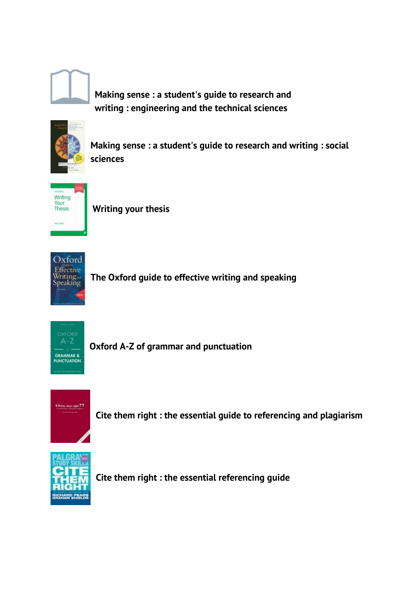

**Making sense : [a student's guide to](http://solo.bodleian.ox.ac.uk/primo-explore/fulldisplay?docid=oxfaleph015784204&context=L&vid=SOLO&lang=en_US&search_scope=LSCOP_STX&adaptor=Local%20Search%20Engine&isFrbr=true&tab=local&query=any,contains,Making%20sense%20:%20a%20student%27s%20guide%20to%20research%20and%20writing%20:%20engineering%20and%20the%20technical%20sciences%20/&offset=0) research and writing : [engineering and the technical sciences](http://solo.bodleian.ox.ac.uk/primo-explore/fulldisplay?docid=oxfaleph015784204&context=L&vid=SOLO&lang=en_US&search_scope=LSCOP_STX&adaptor=Local%20Search%20Engine&isFrbr=true&tab=local&query=any,contains,Making%20sense%20:%20a%20student%27s%20guide%20to%20research%20and%20writing%20:%20engineering%20and%20the%20technical%20sciences%20/&offset=0)**



**Making sense : [a student's guide to research and writing](http://solo.bodleian.ox.ac.uk/primo-explore/fulldisplay?docid=oxfaleph015764549&context=L&vid=SOLO&lang=en_US&search_scope=LSCOP_STX&adaptor=Local%20Search%20Engine&isFrbr=true&tab=local&query=any,contains,Making%20sense%20:%20a%20student%27s%20guide%20to%20research%20and%20writing%20:%20social%20sciences%20/&offset=0) : social [sciences](http://solo.bodleian.ox.ac.uk/primo-explore/fulldisplay?docid=oxfaleph015764549&context=L&vid=SOLO&lang=en_US&search_scope=LSCOP_STX&adaptor=Local%20Search%20Engine&isFrbr=true&tab=local&query=any,contains,Making%20sense%20:%20a%20student%27s%20guide%20to%20research%20and%20writing%20:%20social%20sciences%20/&offset=0)**



**[Writing your thesis](http://solo.bodleian.ox.ac.uk/primo-explore/fulldisplay?docid=oxfaleph019562889&context=L&vid=SOLO&lang=en_US&search_scope=LSCOP_STX&adaptor=Local%20Search%20Engine&isFrbr=true&tab=local&query=any,contains,Writing%20your%20thesis%20/&offset=0)**



**[The Oxford guide to effective writing and speaking](http://solo.bodleian.ox.ac.uk/primo-explore/fulldisplay?docid=oxfaleph016012160&context=L&vid=SOLO&lang=en_US&search_scope=LSCOP_STX&adaptor=Local%20Search%20Engine&isFrbr=true&tab=local&query=any,contains,The%20Oxford%20guide%20to%20effective%20writing%20and%20speaking%20/&offset=0)**



**[Oxford A-Z of grammar and](http://solo.bodleian.ox.ac.uk/primo-explore/fulldisplay?docid=oxfaleph019559945&context=L&vid=SOLO&lang=en_US&search_scope=LSCOP_STX&adaptor=Local%20Search%20Engine&isFrbr=true&tab=local&query=any,contains,Oxford%20A-Z%20of%20grammar%20and%20punctuation%20/&offset=0) punctuation**



**[Cite them right : the essential guide to referencing and plagiarism](http://solo.bodleian.ox.ac.uk/primo-explore/fulldisplay?docid=oxfaleph015969378&context=L&vid=SOLO&lang=en_US&search_scope=LSCOP_STX&adaptor=Local%20Search%20Engine&tab=local&query=any,contains,Cite%20them%20right%20:%20the%20essential%20guide%20to%20referencing%20and%20plagiarism%20/&offset=0)**



**[Cite them right : the essential referencing guide](http://solo.bodleian.ox.ac.uk/primo-explore/fulldisplay?docid=oxfaleph019504238&context=L&vid=SOLO&lang=en_US&search_scope=LSCOP_STX&adaptor=Local%20Search%20Engine&isFrbr=true&tab=local&query=any,contains,Cite%20them%20right%20:%20the%20essential%20referencing%20guide%20/&offset=0)**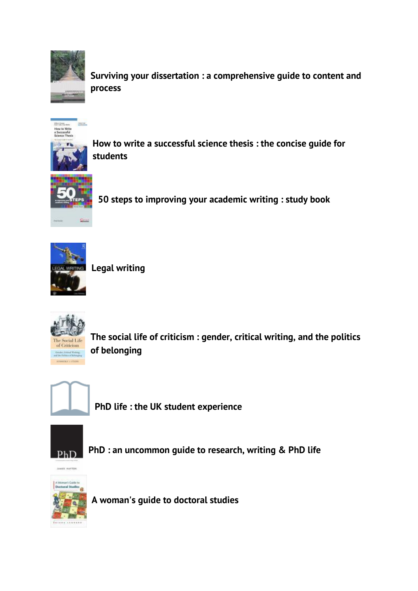

**[Surviving your dissertation : a comprehensive guide to content and](http://solo.bodleian.ox.ac.uk/primo-explore/fulldisplay?docid=oxfaleph015024695&context=L&vid=SOLO&lang=en_US&search_scope=LSCOP_STX&adaptor=Local%20Search%20Engine&isFrbr=true&tab=local&query=any,contains,Surviving%20your%20dissertation%20:%20a%20comprehensive%20guide%20to%20content%20and%20process%20/&offset=0)  [process](http://solo.bodleian.ox.ac.uk/primo-explore/fulldisplay?docid=oxfaleph015024695&context=L&vid=SOLO&lang=en_US&search_scope=LSCOP_STX&adaptor=Local%20Search%20Engine&isFrbr=true&tab=local&query=any,contains,Surviving%20your%20dissertation%20:%20a%20comprehensive%20guide%20to%20content%20and%20process%20/&offset=0)**



**[How to write a successful science thesis : the concise guide for](http://solo.bodleian.ox.ac.uk/primo-explore/fulldisplay?docid=oxfaleph016137923&context=L&vid=SOLO&lang=en_US&search_scope=LSCOP_STX&adaptor=Local%20Search%20Engine&tab=local&query=any,contains,How%20to%20write%20a%20successful%20science%20thesis%20:%20the%20concise%20guide%20for%20students%20/&offset=0)  [students](http://solo.bodleian.ox.ac.uk/primo-explore/fulldisplay?docid=oxfaleph016137923&context=L&vid=SOLO&lang=en_US&search_scope=LSCOP_STX&adaptor=Local%20Search%20Engine&tab=local&query=any,contains,How%20to%20write%20a%20successful%20science%20thesis%20:%20the%20concise%20guide%20for%20students%20/&offset=0)**



**[50 steps to improving your academic writing : study book](http://solo.bodleian.ox.ac.uk/primo-explore/fulldisplay?docid=oxfaleph019365085&context=L&vid=SOLO&lang=en_US&search_scope=LSCOP_STX&adaptor=Local%20Search%20Engine&tab=local&query=any,contains,50%20steps%20to%20improving%20your%20academic%20writing%20:%20study%20book%20/&offset=0)**



**[Legal writing](http://solo.bodleian.ox.ac.uk/primo-explore/fulldisplay?docid=oxfaleph017251075&context=L&vid=SOLO&lang=en_US&search_scope=LSCOP_STX&adaptor=Local%20Search%20Engine&isFrbr=true&tab=local&query=any,contains,Legal%20writing%20/&sortby=rank&facet=frbrgroupid,include,238853253&offset=0)**



**[The social life of criticism : gender, critical writing, and the politics](http://solo.bodleian.ox.ac.uk/primo-explore/fulldisplay?docid=oxfaleph021525454&context=L&vid=SOLO&lang=en_US&search_scope=LSCOP_STX&adaptor=Local%20Search%20Engine&isFrbr=true&tab=local&query=any,contains,The%20social%20life%20of%20criticism%20:%20gender,%20critical%20writing,%20and%20the%20politics%20of%20belonging%20/&offset=0)  [of belonging](http://solo.bodleian.ox.ac.uk/primo-explore/fulldisplay?docid=oxfaleph021525454&context=L&vid=SOLO&lang=en_US&search_scope=LSCOP_STX&adaptor=Local%20Search%20Engine&isFrbr=true&tab=local&query=any,contains,The%20social%20life%20of%20criticism%20:%20gender,%20critical%20writing,%20and%20the%20politics%20of%20belonging%20/&offset=0)**



**PhD [life : the UK student experience](http://solo.bodleian.ox.ac.uk/primo-explore/fulldisplay?docid=oxfaleph022249291&context=L&vid=SOLO&lang=en_US&search_scope=LSCOP_STX&adaptor=Local%20Search%20Engine&tab=local&query=any,contains,phd&sortby=rank&facet=tlevel,include,physical_item&offset=0)**



**PhD [: an uncommon guide to research, writing &](http://solo.bodleian.ox.ac.uk/primo-explore/fulldisplay?docid=oxfaleph020286980&context=L&vid=SOLO&lang=en_US&search_scope=LSCOP_STX&adaptor=Local%20Search%20Engine&tab=local&query=any,contains,phd&sortby=rank&facet=tlevel,include,physical_item&offset=0) PhD life**



**[A woman's guide to doctoral studies](http://solo.bodleian.ox.ac.uk/primo-explore/fulldisplay?docid=oxfaleph015232168&context=L&vid=SOLO&lang=en_US&search_scope=LSCOP_STX&adaptor=Local%20Search%20Engine&tab=local&query=any,contains,phd&sortby=rank&facet=tlevel,include,physical_item&offset=0)**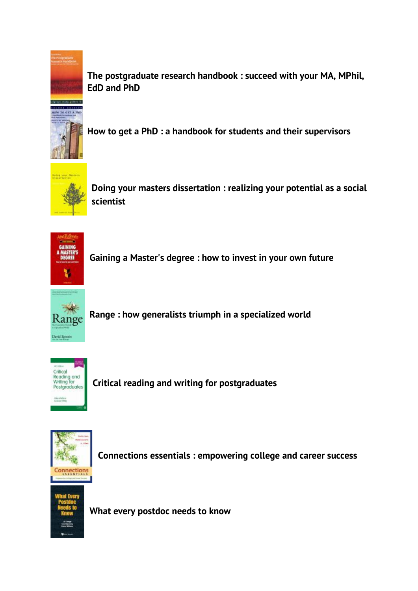

**[The postgraduate research handbook : succeed with your MA, MPhil,](http://solo.bodleian.ox.ac.uk/primo-explore/fulldisplay?docid=oxfaleph015175572&context=L&vid=SOLO&lang=en_US&search_scope=LSCOP_STX&adaptor=Local%20Search%20Engine&isFrbr=true&tab=local&query=any,contains,phd&sortby=rank&facet=frbrgroupid,include,238187558&offset=0)  [EdD and](http://solo.bodleian.ox.ac.uk/primo-explore/fulldisplay?docid=oxfaleph015175572&context=L&vid=SOLO&lang=en_US&search_scope=LSCOP_STX&adaptor=Local%20Search%20Engine&isFrbr=true&tab=local&query=any,contains,phd&sortby=rank&facet=frbrgroupid,include,238187558&offset=0) PhD**



**[How to get a PhD : a handbook for students and their supervisors](http://solo.bodleian.ox.ac.uk/primo-explore/fulldisplay?docid=oxfaleph010967007&context=L&vid=SOLO&lang=en_US&search_scope=LSCOP_STX&adaptor=Local%20Search%20Engine&isFrbr=true&tab=local&query=any,contains,phd&sortby=rank&facet=frbrgroupid,include,233966033&offset=0)**



**[Doing your masters dissertation : realizing your potential as a social](http://solo.bodleian.ox.ac.uk/primo-explore/fulldisplay?docid=oxfaleph015788896&context=L&vid=SOLO&lang=en_US&search_scope=LSCOP_STX&adaptor=Local%20Search%20Engine&tab=local&query=any,contains,masters&facet=tlevel,include,physical_item&offset=0)  [scientist](http://solo.bodleian.ox.ac.uk/primo-explore/fulldisplay?docid=oxfaleph015788896&context=L&vid=SOLO&lang=en_US&search_scope=LSCOP_STX&adaptor=Local%20Search%20Engine&tab=local&query=any,contains,masters&facet=tlevel,include,physical_item&offset=0)**



**[Gaining a Master's degree : how](http://solo.bodleian.ox.ac.uk/primo-explore/fulldisplay?docid=oxfaleph013169510&context=L&vid=SOLO&lang=en_US&search_scope=LSCOP_STX&adaptor=Local%20Search%20Engine&isFrbr=true&tab=local&query=any,contains,masters&facet=tlevel,include,physical_item&offset=0) to invest in your own future**



**[Range : how generalists triumph in a specialized world](https://solo.bodleian.ox.ac.uk/primo-explore/fulldisplay?docid=oxfaleph021820551&context=L&vid=SOLO&lang=en_US&search_scope=LSCOP_ALL&adaptor=Local%20Search%20Engine&isFrbr=true&tab=local&query=any,contains,Range%20:%20how%20generalists%20triumph%20in%20a%20specialized%20world&sortby=rank&facet=frbrgroupid,include,459162862&offset=0)**



**[Critical reading and writing for postgraduates](https://solo.bodleian.ox.ac.uk/primo-explore/fulldisplay?docid=oxfaleph022550281&context=L&vid=SOLO&lang=en_US&search_scope=LSCOP_ALL&adaptor=Local%20Search%20Engine&isFrbr=true&tab=local&query=any,contains,Critical%20Reading%20and%20Writing%20for%20Postgraduates&sortby=rank&facet=frbrgroupid,include,239014495&offset=0)**



**Connections essentials [: empowering college and career success](https://solo.bodleian.ox.ac.uk/primo-explore/fulldisplay?docid=oxfaleph022600694&context=L&vid=SOLO&lang=en_US&search_scope=LSCOP_ALL&adaptor=Local%20Search%20Engine&tab=local&query=any,contains,Connections%20Essentials&offset=0)**



**[What every postdoc needs to know](https://solo.bodleian.ox.ac.uk/primo-explore/fulldisplay?docid=oxfaleph020905198&context=L&vid=SOLO&lang=en_US&search_scope=LSCOP_ALL&adaptor=Local%20Search%20Engine&tab=local&query=any,contains,What%20every%20postdoc%20needs%20to%20know%20/%20Liz%20Elvidge,%20Emma%20Williams,%20Carol%20Spencely.&offset=0)**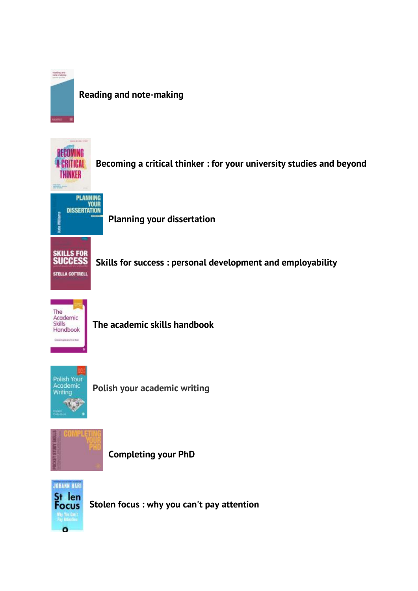

## **[Reading and note-making](https://solo.bodleian.ox.ac.uk/primo-explore/fulldisplay?docid=oxfaleph020382076&context=L&vid=SOLO&lang=en_US&search_scope=LSCOP_ALL&adaptor=Local%20Search%20Engine&tab=local&query=any,contains,Reading%20and%20note-making%20/%20Jeanne%20Godfrey.&offset=0)**



**Becoming a critical thinker : [for your university studies and beyond](https://solo.bodleian.ox.ac.uk/primo-explore/fulldisplay?docid=oxfaleph022521934&context=L&vid=SOLO&lang=en_US&search_scope=LSCOP_ALL&adaptor=Local%20Search%20Engine&tab=local&query=any,contains,Becoming%20a%20critical%20thinker%20:%20for%20your%20university%20studies%20and%20beyond%20/%20Sarah%20Birrell%20Ivory.&offset=0)**



**[Planning your dissertation](https://solo.bodleian.ox.ac.uk/primo-explore/fulldisplay?docid=oxfaleph022488981&context=L&vid=SOLO&lang=en_US&search_scope=LSCOP_ALL&adaptor=Local%20Search%20Engine&isFrbr=true&tab=local&query=any,contains,Planning%20your%20dissertation%20/%20Kate%20Williams.&sortby=rank&facet=frbrgroupid,include,241211442&offset=0)**

**Skills for success [: personal development and employability](https://solo.bodleian.ox.ac.uk/primo-explore/fulldisplay?docid=oxfaleph020201772&context=L&vid=SOLO&lang=en_US&search_scope=LSCOP_STX&adaptor=Local%20Search%20Engine&isFrbr=true&tab=local&query=any,contains,Skills%20for%20success&offset=0)**



**[The academic skills handbook](https://solo.bodleian.ox.ac.uk/primo-explore/fulldisplay?docid=oxfaleph021310800&context=L&vid=SOLO&lang=en_US&search_scope=LSCOP_STX&adaptor=Local%20Search%20Engine&isFrbr=true&tab=local&query=any,contains,The%20academic%20skills%20handbook&offset=0)**



**[Polish your academic writing](https://solo.bodleian.ox.ac.uk/primo-explore/fulldisplay?docid=oxfaleph022659332&context=L&vid=SOLO&lang=en_US&search_scope=LSCOP_STX&adaptor=Local%20Search%20Engine&isFrbr=true&tab=local&query=any,contains,Polish%20your%20academic%20writing&offset=0)**



**[Completing your PhD](https://solo.bodleian.ox.ac.uk/primo-explore/fulldisplay?docid=oxfaleph017786104&context=L&vid=SOLO&lang=en_US&search_scope=LSCOP_STX&adaptor=Local%20Search%20Engine&isFrbr=true&tab=local&query=any,contains,Completing%20your%20PhD&offset=0)**



**Stolen focus [: why you can't pay attention](https://solo.bodleian.ox.ac.uk/primo-explore/fulldisplay?docid=oxfaleph022738778&context=L&vid=SOLO&lang=en_US&search_scope=LSCOP_STX&adaptor=Local%20Search%20Engine&isFrbr=true&tab=local&query=any,contains,Stolen%20Focus&offset=0)**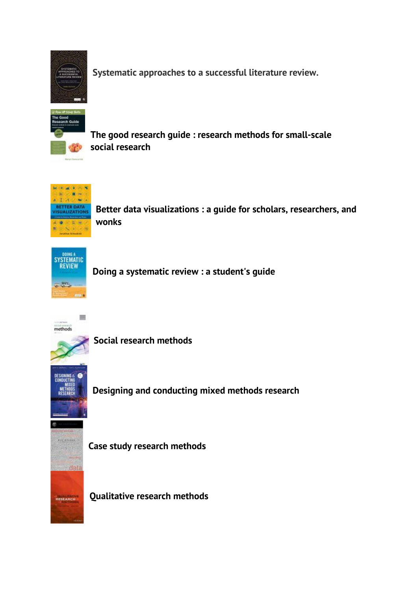

**[Systematic approaches to a successful literature review.](https://solo.bodleian.ox.ac.uk/primo-explore/fulldisplay?docid=oxfaleph022705449&context=L&vid=SOLO&lang=en_US&search_scope=LSCOP_STX&adaptor=Local%20Search%20Engine&isFrbr=true&tab=local&query=any,contains,Systematic%20approaches%20to%20a%20successful%20literature%20review.&offset=0)**



**[The good research guide](https://solo.bodleian.ox.ac.uk/primo-explore/fulldisplay?docid=oxfaleph022765250&context=L&vid=SOLO&lang=en_US&search_scope=LSCOP_STX&adaptor=Local%20Search%20Engine&tab=local&query=any,contains,The%20Good%20Research%20Guide&offset=0) : research methods for small-scale social [research](https://solo.bodleian.ox.ac.uk/primo-explore/fulldisplay?docid=oxfaleph022765250&context=L&vid=SOLO&lang=en_US&search_scope=LSCOP_STX&adaptor=Local%20Search%20Engine&tab=local&query=any,contains,The%20Good%20Research%20Guide&offset=0)**



**Better data visualizations [: a guide for scholars, researchers, and](https://solo.bodleian.ox.ac.uk/primo-explore/fulldisplay?docid=oxfaleph022738772&context=L&vid=SOLO&lang=en_US&search_scope=LSCOP_STX&adaptor=Local%20Search%20Engine&tab=local&query=any,contains,Better%20data%20visualizations&offset=0)  [wonks](https://solo.bodleian.ox.ac.uk/primo-explore/fulldisplay?docid=oxfaleph022738772&context=L&vid=SOLO&lang=en_US&search_scope=LSCOP_STX&adaptor=Local%20Search%20Engine&tab=local&query=any,contains,Better%20data%20visualizations&offset=0)**



**[Doing a systematic review](https://solo.bodleian.ox.ac.uk/primo-explore/fulldisplay?docid=oxfaleph021038932&context=L&vid=SOLO&lang=en_US&search_scope=LSCOP_STX&adaptor=Local%20Search%20Engine&isFrbr=true&tab=local&query=any,contains,Doing%20a%20systematic%20review%20:&offset=0) : a student's guide**



**[Social research methods](https://solo.bodleian.ox.ac.uk/primo-explore/fulldisplay?docid=oxfaleph019269111&context=L&vid=SOLO&lang=en_US&search_scope=LSCOP_STX&adaptor=Local%20Search%20Engine&isFrbr=true&tab=local&query=any,contains,Social%20research%20methods%20/&sortby=rank&facet=frbrgroupid,include,238150809&offset=0)**



**[Designing and conducting mixed methods research](https://solo.bodleian.ox.ac.uk/primo-explore/fulldisplay?docid=oxfaleph021416127&context=L&vid=SOLO&lang=en_US&search_scope=LSCOP_STX&adaptor=Local%20Search%20Engine&isFrbr=true&tab=local&query=any,contains,Designing%20and%20conducting%20mixed%20methods%20research%20/&offset=0)**



**[Case study research methods](https://solo.bodleian.ox.ac.uk/primo-explore/fulldisplay?docid=oxfaleph013830034&context=L&vid=SOLO&lang=en_US&search_scope=LSCOP_STX&adaptor=Local%20Search%20Engine&isFrbr=true&tab=local&query=any,contains,Case%20study%20research%20methods%20/&sortby=rank&facet=frbrgroupid,include,237282310&offset=0)**

**[Qualitative research methods](https://solo.bodleian.ox.ac.uk/primo-explore/fulldisplay?docid=oxfaleph015843407&context=L&vid=SOLO&lang=en_US&search_scope=LSCOP_STX&adaptor=Local%20Search%20Engine&isFrbr=true&tab=local&query=any,contains,Qualitative%20research%20methods%20/&offset=0)**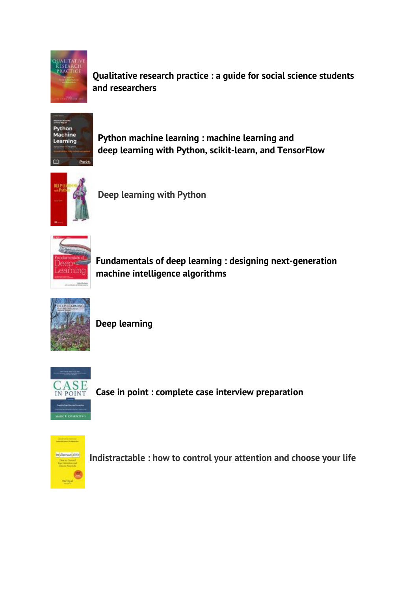

**Qualitative research practice [: a guide for social science students](https://solo.bodleian.ox.ac.uk/primo-explore/fulldisplay?docid=oxfaleph015529653&context=L&vid=SOLO&lang=en_US&search_scope=LSCOP_STX&adaptor=Local%20Search%20Engine&isFrbr=true&tab=local&query=any,contains,Qualitative%20research%20practice%20:&offset=0)  [and researchers](https://solo.bodleian.ox.ac.uk/primo-explore/fulldisplay?docid=oxfaleph015529653&context=L&vid=SOLO&lang=en_US&search_scope=LSCOP_STX&adaptor=Local%20Search%20Engine&isFrbr=true&tab=local&query=any,contains,Qualitative%20research%20practice%20:&offset=0)**



**[Python machine learning](https://solo.bodleian.ox.ac.uk/primo-explore/fulldisplay?docid=oxfaleph021010809&context=L&vid=SOLO&lang=en_US&search_scope=LSCOP_ALL&adaptor=Local%20Search%20Engine&isFrbr=true&tab=local&query=any,contains,Python%20machine%20learning%20:&sortby=rank&facet=frbrgroupid,include,373179047&offset=0) : machine learning and deep learning with [Python, scikit-learn, and TensorFlow](https://solo.bodleian.ox.ac.uk/primo-explore/fulldisplay?docid=oxfaleph021010809&context=L&vid=SOLO&lang=en_US&search_scope=LSCOP_ALL&adaptor=Local%20Search%20Engine&isFrbr=true&tab=local&query=any,contains,Python%20machine%20learning%20:&sortby=rank&facet=frbrgroupid,include,373179047&offset=0)**



**Deep [learning with Python](https://solo.bodleian.ox.ac.uk/primo-explore/fulldisplay?docid=oxfaleph021357230&context=L&vid=SOLO&lang=en_US&search_scope=LSCOP_STX&adaptor=Local%20Search%20Engine&tab=local&query=any,contains,Deep%20learning%20with%20Python&offset=0)**



**[Fundamentals of deep learning](https://solo.bodleian.ox.ac.uk/primo-explore/fulldisplay?docid=oxfaleph020929836&context=L&vid=SOLO&lang=en_US&search_scope=LSCOP_ALL&adaptor=Local%20Search%20Engine&tab=local&query=any,contains,Fundamentals%20of%20deep%20learning%20:&facet=tlevel,include,physical_item&offset=0) : designing next-generation [machine intelligence algorithms](https://solo.bodleian.ox.ac.uk/primo-explore/fulldisplay?docid=oxfaleph020929836&context=L&vid=SOLO&lang=en_US&search_scope=LSCOP_ALL&adaptor=Local%20Search%20Engine&tab=local&query=any,contains,Fundamentals%20of%20deep%20learning%20:&facet=tlevel,include,physical_item&offset=0)**



**[Deep learning](https://solo.bodleian.ox.ac.uk/primo-explore/fulldisplay?docid=oxfaleph020782609&context=L&vid=SOLO&lang=en_US&search_scope=LSCOP_ALL&adaptor=Local%20Search%20Engine&isFrbr=true&tab=local&query=any,contains,Deep%20learning%20/&sortby=rank&facet=frbrgroupid,include,352359118&offset=0)**



**[Case in point : complete case interview preparation](https://solo.bodleian.ox.ac.uk/primo-explore/fulldisplay?docid=oxfaleph022003411&context=L&vid=SOLO&lang=en_US&search_scope=LSCOP_ALL&adaptor=Local%20Search%20Engine&isFrbr=true&tab=local&query=any,contains,Case%20in%20point%20:%20complete%20case%20interview%20preparation%20/%20Marc%20P.%20Cosentino.&sortby=rank&facet=frbrgroupid,include,239037501&offset=0)**



**[Indistractable : how to control your attention and choose your life](https://solo.bodleian.ox.ac.uk/primo-explore/fulldisplay?docid=oxfaleph022643208&context=L&vid=SOLO&lang=en_US&search_scope=LSCOP_STX&adaptor=Local%20Search%20Engine&isFrbr=true&tab=local&query=any,contains,Indistractable%20:%20how%20to%20control%20your%20attention%20and%20choose%20your%20life&offset=0)**